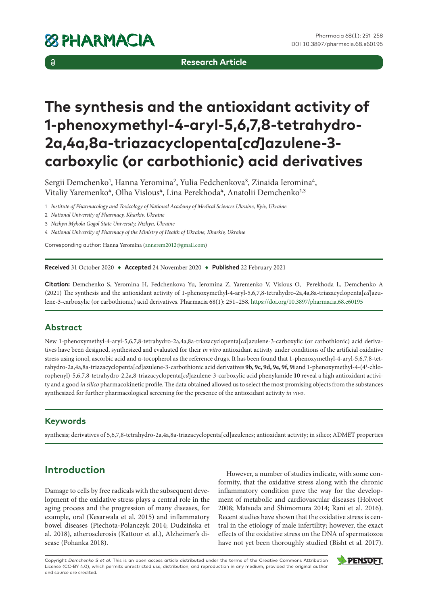$\delta$ 

**Research Article**

# **The synthesis and the antioxidant activity of 1-phenoxymethyl-4-aryl-5,6,7,8-tetrahydro-2a,4a,8a-triazacyclopenta[***cd***]azulene-3 carboxylic (or carbothionic) acid derivatives**

Sergii Demchenko<sup>1</sup>, Hanna Yeromina<sup>2</sup>, Yulia Fedchenkova<sup>3</sup>, Zinaida Ieromina<sup>4</sup>, Vitaliy Yaremenko<sup>4</sup>, Olha Vislous<sup>4</sup>, Lina Perekhoda<sup>4</sup>, Anatolii Demchenko<sup>1,3</sup>

1 *Institute of Pharmacology and Toxicology of National Academy of Medical Sciences Ukraine, Kyiv, Ukraine*

- 2 *National University of Pharmacy, Kharkiv, Ukraine*
- 3 *Nizhyn Mykola Gogol State University, Nizhyn, Ukraine*
- 4 *National University of Pharmacy of the Ministry of Health of Ukraine, Kharkiv, Ukraine*

Corresponding author: Hanna Yeromina ([annerem2012@gmail.com](mailto:annerem2012@gmail.com))

**Received** 31 October 2020 ♦ **Accepted** 24 November 2020 ♦ **Published** 22 February 2021

**Citation:** Demchenko S, Yeromina H, Fedchenkova Yu, Ieromina Z, Yaremenko V, Vislous O, Perekhoda L, Demchenko A (2021) The synthesis and the antioxidant activity of 1-phenoxymethyl-4-aryl-5,6,7,8-tetrahydro-2a,4a,8a-triazacyclopenta[*cd*]azulene-3-carboxylic (or carbothionic) acid derivatives. Pharmacia 68(1): 251–258.<https://doi.org/10.3897/pharmacia.68.e60195>

## **Abstract**

New 1-phenoxymethyl-4-aryl-5,6,7,8-tetrahydro-2а,4a,8a-triazacyclopenta[*cd*]azulene-3-carboxylic (or carbothionic) acid derivatives have been designed, synthesized and evaluated for their *in vitro* antioxidant activity under conditions of the artificial oxidative stress using ionol, ascorbic acid and α-tocopherol as the reference drugs. It has been found that 1-phenoxymethyl-4-aryl-5,6,7,8-tetrahydro-2а,4a,8a-triazacyclopenta[*cd*]azulene-3-carbothionic acid derivatives **9b, 9c, 9d, 9e, 9f, 9i** and 1-phenoxymethyl-4-(41 -chlorophenyl)-5,6,7,8-tetrahydro-2,2a,8-triazacyclopenta[*cd*]azulene-3-carboxylic acid phenylamide **10** reveal a high antioxidant activity and a good *in silico* pharmacokinetic profile. The data obtained allowed us to select the most promising objects from the substances synthesized for further pharmacological screening for the presence of the antioxidant activity *in vivo*.

## **Keywords**

synthesis; derivatives of 5,6,7,8-tetrahydro-2а,4a,8a-triazacyclopenta[cd]azulenes; antioxidant activity; in silico; АDMET properties

## **Introduction**

Damage to cells by free radicals with the subsequent development of the oxidative stress plays a central role in the aging process and the progression of many diseases, for example, oral (Kesarwala et al. 2015) and inflammatory bowel diseases (Piechota-Polanczyk 2014; Dudzińska et al. 2018), atherosclerosis (Kattoor et al.), Alzheimer's disease (Pohanka 2018).

However, a number of studies indicate, with some conformity, that the oxidative stress along with the chronic inflammatory condition pave the way for the development of metabolic and cardiovascular diseases (Holvoet 2008; Matsuda and Shimomura 2014; Rani et al. 2016). Recent studies have shown that the oxidative stress is central in the etiology of male infertility; however, the exact effects of the oxidative stress on the DNA of spermatozoa have not yet been thoroughly studied (Bisht et al. 2017).

Copyright *Demchenko S et al.* This is an open access article distributed under the terms of the Creative Commons Attribution License (CC-BY 4.0), which permits unrestricted use, distribution, and reproduction in any medium, provided the original author and source are credited.

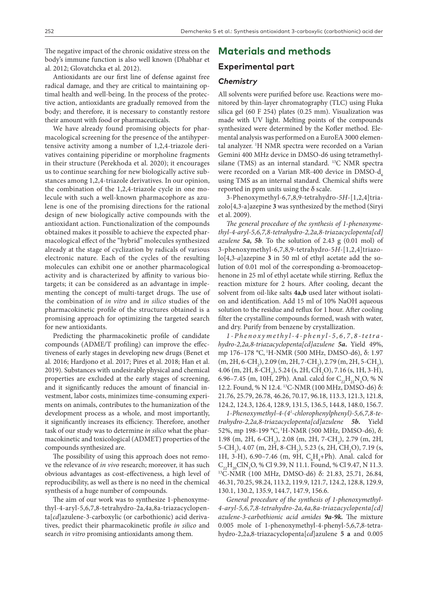The negative impact of the chronic oxidative stress on the body's immune function is also well known (Dhabhar et al. 2012; Glovatchcka et al. 2012).

Antioxidants are our first line of defense against free radical damage, and they are critical to maintaining optimal health and well-being. In the process of the protective action, antioxidants are gradually removed from the body; and therefore, it is necessary to constantly restore their amount with food or pharmaceuticals.

We have already found promising objects for pharmacological screening for the presence of the antihypertensive activity among a number of 1,2,4-triazole derivatives containing piperidine or morpholine fragments in their structure (Perekhoda et al. 2020); it encourages us to continue searching for new biologically active substances among 1,2,4-triazole derivatives. In our opinion, the combination of the 1,2,4-triazole cycle in one molecule with such a well-known pharmacophore as azulene is one of the promising directions for the rational design of new biologically active compounds with the antioxidant action. Functionalization of the compounds obtained makes it possible to achieve the expected pharmacological effect of the "hybrid" molecules synthesized already at the stage of cyclization by radicals of various electronic nature. Each of the cycles of the resulting molecules can exhibit one or another pharmacological activity and is characterized by affinity to various biotargets; it can be considered as an advantage in implementing the concept of multi-target drugs. The use of the combination of *in vitro* and *in silico* studies of the pharmacokinetic profile of the structures obtained is a promising approach for optimizing the targeted search for new antioxidants.

Predicting the pharmacokinetic profile of candidate compounds (ADME/T profiling) can improve the effectiveness of early stages in developing new drugs (Benet et al. 2016; Hardjono et al. 2017; Pires et al. 2018; Han et al. 2019). Substances with undesirable physical and chemical properties are excluded at the early stages of screening, and it significantly reduces the amount of financial investment, labor costs, minimizes time-consuming experiments on animals, contributes to the humanization of the development process as a whole, and most importantly, it significantly increases its efficiency. Therefore, another task of our study was to determine *in silico* what the pharmacokinetic and toxicological (ADMET) properties of the compounds synthesized are.

The possibility of using this approach does not remove the relevance of *in vivo* research; moreover, it has such obvious advantages as cost-effectiveness, a high level of reproducibility, as well as there is no need in the chemical synthesis of a huge number of compounds.

The aim of our work was to synthesize 1-phenoxymethyl-4-aryl-5,6,7,8-tetrahydro-2а,4a,8a-triazacyclopenta[*cd*]azulene-3-carboxylic (or carbothionic) acid derivatives, predict their pharmacokinetic profile *in silico* and search *in vitro* promising antioxidants among them.

## **Materials and methods**

## **Experimental part**

#### *Chemistry*

All solvents were purified before use. Reactions were monitored by thin-layer chromatography (TLC) using Fluka silica gel (60 F 254) plates (0.25 mm). Visualization was made with UV light. Melting points of the compounds synthesized were determined by the Kofler method. Elemental analysis was performed on a EuroEA 3000 elemental analyzer. <sup>1</sup>H NMR spectra were recorded on a Varian Gemini 400 MHz device in DMSO-d6 using tetramethylsilane (TMS) as an internal standard. 13C NMR spectra were recorded on a Varian MR-400 device in DMSO- $d_{\epsilon}$ using TMS as an internal standard. Chemical shifts were reported in ppm units using the  $\delta$  scale.

3-Phenoxymethyl-6,7,8,9-tetrahydro-*5H*-[1,2,4]triazolo[4,3-a]azepine **3** was synthesized by the method (Siryi et al. 2009).

*The general procedure of the synthesis of 1-phenoxymethyl-4-aryl-5,6,7,8-tetrahydro-2,2a,8-triazacyclopenta[cd] azulene 5a, 5b.* To the solution of 2.43 g (0.01 mol) of 3-phenoxymethyl-6,7,8,9-tetrahydro-5*H*-[1,2,4]triazolo[4,3-*a*]azepine **3** in 50 ml of ethyl acetate add the solution of 0.01 mol of the corresponding α-bromoacetophenone in 25 ml of ethyl acetate while stirring. Reflux the reaction mixture for 2 hours. After cooling, decant the solvent from oil-like salts **4a,b** used later without isolation and identification. Add 15 ml of 10% NaOH aqueous solution to the residue and reflux for 1 hour. After cooling filter the crystalline compounds formed, wash with water, and dry. Purify from benzene by crystallization.

*1-Phenoxymethyl-4-phenyl-5,6,7,8-tetra hydro-2,2a,8-triazacyclopenta[cd]azulene 5a***.** Yield 49%, mp 176–178 °С, 1Н-NMR (500 MHz, DМSО-d6), δ: 1.97  $(m, 2H, 6\text{-}CH_2)$ , 2.09  $(m, 2H, 7\text{-}CH_2)$ , 2.79  $(m, 2H, 5\text{-}CH_2)$ ,  $4.06 \, (\text{m}, 2H, 8\text{-}CH_2), 5.24 \, (\text{s}, 2H, CH_2O), 7.16 \, (\text{s}, 1H, 3\text{-}H),$ 6.96–7.45 (m, 10H, 2Ph). Anal. calcd for  $C_{22}H_{21}N_3O$ , % N 12.2. Found, % N 12.4. 13C-NMR (100 MHz, DМSО-d6) δ: 21.76, 25.79, 26.78, 46.26, 70.17, 96.18, 113.3, 121.3, 121.8, 124.2, 124.3, 126.4, 128.9, 131.5, 136.5, 144.8, 148.0, 156.7.

*1-Phenoxymethyl-4-(41 -chlorophenylphenyl)-5,6,7,8-tetrahydro-2,2a,8-triazacyclopenta[cd]azulene 5b***.** Yield 52%, mp 198-199 °С, 1Н-NMR (500 MHz, DМSО-d6), δ: 1.98 (m, 2H, 6-CH<sub>2</sub>), 2.08 (m, 2H, 7-CH<sub>2</sub>), 2.79 (m, 2H, 5-CH<sub>2</sub>), 4.07 (m, 2H, 8-CH<sub>2</sub>), 5.23 (s, 2H, CH<sub>2</sub>O), 7.19 (s, 1H, 3-H), 6.90–7.46 (m, 9H,  $C_6H_4$ +Ph). Anal. calcd for  $C_{22}H_{20}CN_{2}O$ , % Cl 9.39, N 11.1. Found, % Cl 9.47, N 11.3. <sup>13</sup>C-NMR (100 MHz, DMSO-d6) δ: 21.83, 25.71, 26.84, 46.31, 70.25, 98.24, 113.2, 119.9, 121.7, 124.2, 128.8, 129.9, 130.1, 130.2, 135.9, 144.7, 147.9, 156.6.

*General procedure of the synthesis of 1-phenoxymethyl-4-aryl-5,6,7,8-tetrahydro-2а,4a,8a-triazacyclopenta[cd] azulene-3-carbothionic acid amides 9a-9k.* The mixture 0.005 mole of 1-phenoxymethyl-4-phenyl-5,6,7,8-tetrahydro-2,2a,8-triazacyclopenta[*cd*]azulene **5 a** and 0.005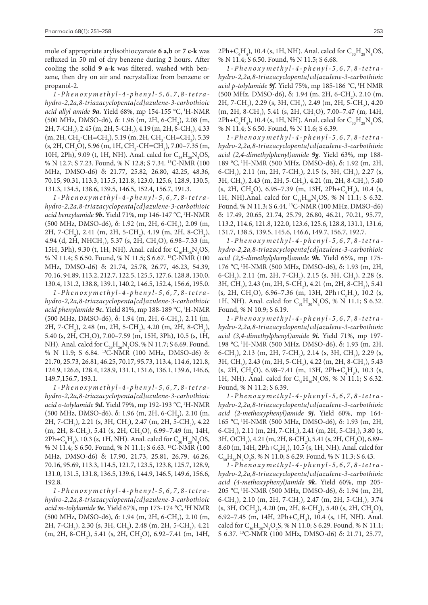mole of appropriate arylisothiocyanate **6 a,b** or **7 c-k** was refluxed in 50 ml of dry benzene during 2 hours. After cooling the solid **9 a-k** was filtered, washed with benzene, then dry on air and recrystallize from benzene or propanol-2.

*1-Phenoxymethyl-4-phenyl-5,6,7,8-tetra hydro-2,2a,8-triazacyclopenta[cd]azulene-3-carbothioic acid allyl amide 9a***.** Yield 68%, mp 154-155 °С, 1Н-NMR (500 MHz, DMSO-d6), δ: 1.96 (m, 2H, 6-CH<sub>2</sub>), 2.08 (m,  $2H$ , 7-CH<sub>2</sub>), 2.45 (m, 2H, 5-CH<sub>2</sub>), 4.19 (m, 2H, 8-CH<sub>2</sub>), 4.33  $(m, 2H, CH_2\text{-}CH=\text{CH}_2)$ , 5.19  $(m, 2H, CH_2\text{-}CH=\text{CH}_2)$ , 5.39  $(s, 2H, CH_2O), 5.96$  (m, 1H,  $CH_2$ -CH=CH<sub>2</sub>), 7.00–7.35 (m, 10H, 2Ph), 9.09 (t, 1H, NH). Anal. calcd for  $C_{26}H_{26}N_4OS$ , % N 12.7; S 7.23. Found, % N 12.8; S 7.34. 13C-NMR (100 MHz, DМSО-d6) δ: 21.77, 25.82, 26.80, 42.25, 48.36, 70.15, 90.31, 113.3, 115.5, 121.8, 123.0, 125.6, 128.9, 130.5, 131.3, 134.5, 138.6, 139.5, 146.5, 152.4, 156.7, 191.3.

*1-Phenoxymethyl-4-phenyl-5,6,7,8-tetra hydro-2,2a,8-triazacyclopenta[cd]azulene-3-carbothioic acid benzylamide 9b***.** Yield 71%, mp 146-147 °С, 1Н-NMR (500 MHz, DMSO-d6), δ: 1.92 (m, 2H, 6-CH<sub>2</sub>), 2.09 (m, 2H, 7-CH<sub>2</sub>), 2.41 (m, 2H, 5-CH<sub>2</sub>), 4.19 (m, 2H, 8-CH<sub>2</sub>), 4.94 (d, 2H, NHCH<sub>2</sub>), 5.37 (s, 2H, CH<sub>2</sub>O), 6.98–7.33 (m, 15H, 3Ph), 9.30 (t, 1H, NH). Anal. calcd for  $C_{30}H_{28}N_4OS$ , % N 11.4; S 6.50. Found, % N 11.5; S 6.67. 13C-NMR (100 MHz, DМSО-d6) δ: 21.74, 25.78, 26.77, 46.23, 54.39, 70.16, 94.89, 113.2, 212.7, 122.5, 125.5, 127.6, 128.8, 130.0, 130.4, 131.2, 138.8, 139.1, 140.2, 146.5, 152.4, 156.6, 195.0.

*1-Phenoxymethyl-4-phenyl-5,6,7,8-tetra hydro-2,2a,8-triazacyclopenta[cd]azulene-3-carbothioic acid phenylamide 9c***.** Yield 81%, mp 188-189 °С, 1Н-NMR (500 MHz, DMSO-d6), δ: 1.94 (m, 2H, 6-CH<sub>2</sub>), 2.11 (m, 2H, 7-CH<sub>2</sub>), 2.48 (m, 2H, 5-CH<sub>2</sub>), 4.20 (m, 2H, 8-CH<sub>2</sub>), 5.40 (s, 2H, CH<sub>2</sub>O), 7.00–7.59 (m, 15H, 3Ph), 10.5 (s, 1H, NH). Anal. calcd for  $C_{29}H_{26}N_{4}OS$ , % N 11.7; S 6.69. Found, % N 11.9; S 6.84. 13C-NMR (100 MHz, DМSО-d6) δ: 21.70, 25.73, 26.81, 46.25, 70.17, 95.73, 113.4, 114.6, 121.8, 124.9, 126.6, 128.4, 128.9, 131.1, 131.6, 136.1, 139.6, 146.6, 149.7,156.7, 193.1.

*1-Phenoxymethyl-4-phenyl-5,6,7,8-tetra hydro-2,2a,8-triazacyclopenta[cd]azulene-3-carbothioic acid o-tolylamide 9d***.** Yield 79%, mp 192-193 °С, 1Н-NMR (500 MHz, DMSO-d6), δ: 1.96 (m, 2H, 6-CH<sub>2</sub>), 2.10 (m, 2H, 7-CH<sub>2</sub>), 2.21 (s, 3H, CH<sub>3</sub>), 2.47 (m, 2H, 5-CH<sub>2</sub>), 4.22  $(m, 2H, 8\text{-}CH_2)$ , 5.41 (s, 2H, CH<sub>2</sub>O), 6.99–7.49 (m, 14H,  $2Ph + C_{6}H_{4}$ ), 10.3 (s, 1H, NH). Anal. calcd for  $C_{30}H_{28}N_{4}OS$ , % N 11.4; S 6.50. Found, % N 11.1; S 6.63. 13C-NMR (100 MHz, DМSО-d6) δ: 17.90, 21.73, 25.81, 26.79, 46.26, 70.16, 95.69, 113.3, 114.5, 121.7, 123.5, 123.8, 125.7, 128.9, 131.0, 131.5, 131.8, 136.5, 139.6, 144.9, 146.5, 149.6, 156.6, 192.8.

*1-Phenoxymethyl-4-phenyl-5,6,7,8-tetra hydro-2,2a,8-triazacyclopenta[cd]azulene-3-carbothioic acid m-tolylamide 9e***.** Yield 67%, mp 173-174 °С, 1Н NMR (500 MHz, DMSO-d6), δ: 1.94 (m, 2H, 6-CH<sub>2</sub>), 2.10 (m, 2H, 7-CH<sub>2</sub>), 2.30 (s, 3H, CH<sub>3</sub>), 2.48 (m, 2H, 5-CH<sub>2</sub>), 4.21  $(m, 2H, 8\text{-}CH_2)$ , 5.41 (s, 2H, CH<sub>2</sub>O), 6.92–7.41 (m, 14H,  $2Ph + C<sub>6</sub>H<sub>4</sub>$ ), 10.4 (s, 1H, NH). Anal. calcd for  $C<sub>30</sub>H<sub>28</sub>N<sub>4</sub>OS$ , % N 11.4; S 6.50. Found, % N 11.5; S 6.68.

*1-Phenoxymethyl-4-phenyl-5,6,7,8-tetra hydro-2,2a,8-triazacyclopenta[cd]azulene-3-carbothioic acid p-tolylamide 9f.* Yield 75%, mp 185-186 °С, 1Н NMR (500 MHz, DMSO-d6), δ: 1.94 (m, 2H, 6-CH<sub>2</sub>), 2.10 (m, 2H, 7-CH<sub>2</sub>), 2.29 (s, 3H, CH<sub>3</sub>), 2.49 (m, 2H, 5-CH<sub>2</sub>), 4.20  $(m, 2H, 8\text{-}CH_2)$ , 5.41 (s, 2H, CH<sub>2</sub>O), 7.00–7.47 (m, 14H,  $2Ph + C<sub>6</sub>H<sub>4</sub>$ ), 10.4 (s, 1H, NH). Anal. calcd for  $C<sub>30</sub>H<sub>28</sub>N<sub>4</sub>OS$ , % N 11.4; S 6.50. Found, % N 11.6; S 6.39.

*1-Phenoxymethyl-4-phenyl-5,6,7,8-tetra hydro-2,2a,8-triazacyclopenta[cd]azulene-3-carbothioic acid (2,4-dimethylphenyl)amide 9g.* Yield 63%, mp 188- 189 °C, <sup>1</sup>H-NMR (500 MHz, DMSO-d6), δ: 1.92 (m, 2H, 6-CH<sub>2</sub>), 2.11 (m, 2H, 7-CH<sub>2</sub>), 2.15 (s, 3H, CH<sub>3</sub>), 2.27 (s, 3H, CH<sub>3</sub>), 2.43 (m, 2H, 5-CH<sub>2</sub>), 4.21 (m, 2H, 8-CH<sub>2</sub>), 5.40  $(s, 2H, CH_2O), 6.95-7.39$  (m, 13H, 2Ph+C<sub>6</sub>H<sub>3</sub>), 10.4 (s, 1H, NH).Anal. calcd for  $C_{31}H_{30}N_{4}OS$ , % N 11.1; S 6.32. Found, % N 11.3; S 6.44. 13C-NMR (100 MHz, DМSО-d6) δ: 17.49, 20.65, 21.74, 25.79, 26.80, 46.21, 70.21, 95.77, 113.2, 114.6, 121.8, 122.0, 123.6, 125.6, 128.8, 131.1, 131.6, 131.7, 138.5, 139.5, 145.6, 146.6, 149.7, 156.7, 192.7.

*1-Phenoxymethyl-4-phenyl-5,6,7,8-tetra hydro-2,2a,8-triazacyclopenta[cd]azulene-3-carbothioic acid (2,5-dimethylphenyl)amide 9h***.** Yield 65%, mp 175- 176 °C, <sup>1</sup>H-NMR (500 MHz, DMSO-d6), δ: 1.93 (m, 2H, 6-CH<sub>2</sub>), 2.11 (m, 2H, 7-CH<sub>2</sub>), 2.15 (s, 3H, CH<sub>3</sub>), 2.28 (s, 3H, CH<sub>3</sub>), 2.43 (m, 2H, 5-CH<sub>2</sub>), 4.21 (m, 2H, 8-CH<sub>2</sub>), 5.41  $(s, 2H, CH_2O), 6.96-7.36$  (m, 13H, 2Ph+C<sub>6</sub>H<sub>3</sub>), 10.2 (s, 1H, NH). Anal. calcd for  $C_{31}H_{30}N_4OS$ , % N 11.1; S 6.32. Found, % N 10.9; S 6.19.

*1-Phenoxymethyl-4-phenyl-5,6,7,8-tetra hydro-2,2a,8-triazacyclopenta[cd]azulene-3-carbothioic acid (3,4-dimethylphenyl)amide 9i.* Yield 71%, mp 197- 198 °C, <sup>1</sup>H-NMR (500 MHz, DMSO-d6), δ: 1.93 (m, 2H, 6-CH<sub>2</sub>), 2.13 (m, 2H, 7-CH<sub>2</sub>), 2.14 (s, 3H, CH<sub>3</sub>), 2.29 (s, 3H, CH<sub>3</sub>), 2.43 (m, 2H, 5-CH<sub>2</sub>), 4.22 (m, 2H, 8-CH<sub>2</sub>), 5.43  $(s, 2H, CH<sub>2</sub>O), 6.98-7.41$  (m, 13H, 2Ph+C<sub>6</sub>H<sub>3</sub>), 10.3 (s, 1H, NH). Anal. calcd for  $C_{31}H_{30}N_4OS$ , % N 11.1; S 6.32. Found, % N 11.2; S 6.39.

*1-Phenoxymethyl-4-phenyl-5,6,7,8-tetra hydro-2,2a,8-triazacyclopenta[cd]azulene-3-carbothioic acid (2-methoxyphenyl)amide 9j***.** Yield 60%, mp 164- 165 °C, <sup>1</sup>H-NMR (500 MHz, DMSO-d6), δ: 1.93 (m, 2H, 6-CH<sub>2</sub>), 2.11 (m, 2H, 7-CH<sub>2</sub>), 2.41 (m, 2H, 5-CH<sub>2</sub>), 3.80 (s, 3H, OCH<sub>3</sub>), 4.21 (m, 2H, 8-CH<sub>2</sub>), 5.41 (s, 2H, CH<sub>2</sub>O), 6.89– 8.60 (m, 14H, 2Ph+ $C_{6}H_{4}$ ), 10.5 (s, 1H, NH). Anal. calcd for  $C_{30}H_{28}N_{4}O_{2}S$ , % N 11.0; S 6.29. Found, % N 11.3; S 6.43.

*1-Phenoxymethyl-4-phenyl-5,6,7,8-tetra hydro-2,2a,8-triazacyclopenta[cd]azulene-3-carbothioic acid (4-methoxyphenyl)amide 9k***.** Yield 60%, mp 205- 205 °С, 1Н-NMR (500 MHz, DМSО-d6), δ: 1.94 (m, 2Н, 6-CH<sub>2</sub>), 2.10 (m, 2H, 7-CH<sub>2</sub>), 2.47 (m, 2H, 5-CH<sub>2</sub>), 3.74  $(s, 3H, OCH<sub>3</sub>)$ , 4.20 (m, 2H, 8-CH<sub>2</sub>), 5.40 (s, 2H, CH<sub>2</sub>O), 6.92–7.45 (m, 14H, 2Ph+ $C_{6}H_{4}$ ), 10.4 (s, 1H, NH). Anal. calcd for  $C_{30}H_{28}N_{4}O_{2}S$ , % N 11.0; S 6.29. Found, % N 11.1; S 6.37. 13C-NMR (100 MHz, DМSО-d6) δ: 21.71, 25.77,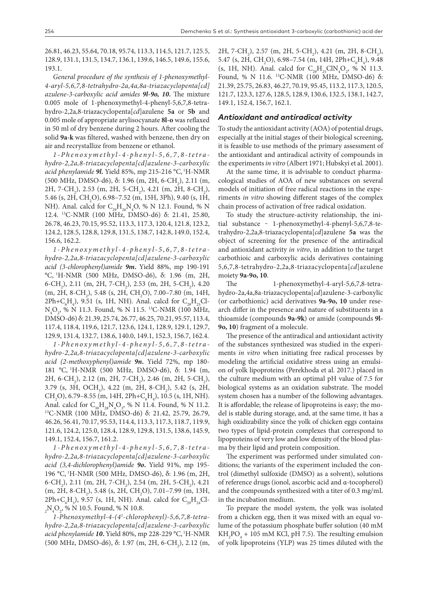26.81, 46.23, 55.64, 70.18, 95.74, 113.3, 114.5, 121.7, 125.5, 128.9, 131.1, 131.5, 134.7, 136.1, 139.6, 146.5, 149.6, 155.6, 193.1.

*General procedure of the synthesis of 1-phenoxymethyl-4-aryl-5,6,7,8-tetrahydro-2а,4a,8a-triazacyclopenta[cd] azulene-3-carboxylic acid amides 9l-9o, 10***.** The mixture 0.005 mole of 1-phenoxymethyl-4-phenyl-5,6,7,8-tetrahydro-2,2a,8-triazacyclopenta[*cd*]azulene **5a** or **5b** and 0.005 mole of appropriate arylisocyanate **8l-o** was reflaxed in 50 ml of dry benzene during 2 hours. After cooling the solid **9a-k** was filtered, washed with benzene, then dry on air and recrystallize from benzene or ethanol.

*1-Phenoxymethyl-4-phenyl-5,6,7,8-tetra hydro-2,2a,8-triazacyclopenta[cd]azulene-3-carboxylic acid phenylamide 9l***.** Yield 85%, mp 215-216 °С, 1Н-NMR (500 MHz, DMSO-d6), δ: 1.96 (m, 2H, 6-CH<sub>2</sub>), 2.11 (m, 2H, 7-CH<sub>2</sub>), 2.53 (m, 2H, 5-CH<sub>2</sub>), 4.21 (m, 2H, 8-CH<sub>2</sub>), 5.46 (s, 2H, CH<sub>2</sub>O), 6.98–7.52 (m, 15H, 3Ph), 9.40 (s, 1H, NH). Anal. calcd for  $C_{29}H_{26}N_4O$ , % N 12.1. Found, % N 12.4. 13C-NMR (100 MHz, DМSО-d6) δ: 21.41, 25.80, 26.78, 46.23, 70.15, 95.52, 113.3, 117.3, 120.4, 121.8, 123.2, 124.2, 128.5, 128.8, 129.8, 131.5, 138.7, 142.8, 149.0, 152.4, 156.6, 162.2.

*1-Phenoxymethyl-4-phenyl-5,6,7,8-tetra hydro-2,2a,8-triazacyclopenta[cd]azulene-3-carboxylic acid (3-chlorophenyl)amide 9m***.** Yield 88%, mp 190-191 °С, 1Н-NMR (500 MHz, DМSО-d6), δ: 1.96 (m, 2Н, 6-CH<sub>2</sub>), 2.11 (m, 2H, 7-CH<sub>2</sub>), 2.53 (m, 2H, 5-CH<sub>2</sub>), 4.20 (m, 2H, 8-CH<sub>2</sub>), 5.48 (s, 2H, CH<sub>2</sub>O), 7.00–7.80 (m, 14H,  $2Ph + C_{6}H_{4}$ ), 9.51 (s, 1H, NH). Anal. calcd for  $C_{29}H_{25}Cl \rm N_4O_2$ , % N 11.3. Found, % N 11.5. <sup>13</sup>C-NMR (100 MHz, DМSО-d6) δ: 21.39, 25.74, 26.77, 46.25, 70.21, 95.57, 113.4, 117.4, 118.4, 119.6, 121.7, 123.6, 124.1, 128.9, 129.1, 129.7, 129.9, 131.4, 132.7, 138.6, 140.0, 149.1, 152.3, 156.7, 162.4.

*1-Phenoxymethyl-4-phenyl-5,6,7,8-tetra hydro-2,2a,8-triazacyclopenta[cd]azulene-3-carboxylic acid (2-methoxyphenyl)amide 9n***.** Yield 72%, mp 180- 181 °C, <sup>1</sup>H-NMR (500 MHz, DMSO-d6), δ: 1.94 (m, 2H, 6-CH<sub>2</sub>), 2.12 (m, 2H, 7-CH<sub>2</sub>), 2.46 (m, 2H, 5-CH<sub>2</sub>),  $3.79$  (s,  $3H$ , OCH<sub>3</sub>),  $4.22$  (m,  $2H$ ,  $8\text{-}CH_2$ ),  $5.42$  (s,  $2H$ , CH<sub>2</sub>O), 6.79–8.55 (m, 14H, 2Ph+C<sub>6</sub>H<sub>4</sub>), 10.5 (s, 1H, NH). Anal. calcd for  $C_{30}H_{28}N_4O_3$ , % N 11.4. Found, % N 11.2.<br><sup>13</sup>C-NMR (100 MHz, DMSO-d6) δ: 21.42, 25.79, 26.79, 46.26, 56.41, 70.17, 95.53, 114.4, 113.3, 117.3, 118.7, 119.9, 121.6, 124.2, 125.0, 128.4, 128.9, 129.8, 131.5, 138.6, 145.9, 149.1, 152.4, 156.7, 161.2.

*1-Phenoxymethyl-4-phenyl-5,6,7,8-tetra hydro-2,2a,8-triazacyclopenta[cd]azulene-3-carboxylic acid (3,4-dichlorophenyl)amide 9o***.** Yield 91%, mp 195- 196 °С, 1Н-NMR (500 MHz, DМSО-d6), δ: 1.96 (m, 2Н, 6-CH<sub>2</sub>), 2.11 (m, 2H, 7-CH<sub>2</sub>), 2.54 (m, 2H, 5-CH<sub>2</sub>), 4.21  $(m, 2H, 8\text{-}CH_2)$ , 5.48 (s, 2H, CH<sub>2</sub>O), 7.01–7.99 (m, 13H,  $2Ph + C_{6}H_{3}$ ), 9.57 (s, 1H, NH). Anal. calcd for  $C_{29}H_{24}Cl _{2}N_{4}O_{2}$ , % N 10.5. Found, % N 10.8.

*1-Phenoxymethyl-4-(41 -chlorophenyl)-5,6,7,8-tetrahydro-2,2a,8-triazacyclopenta[cd]azulene-3-carboxylic acid phenylamide 10***.** Yield 80%, mp 228-229 °С, 1Н-NMR (500 MHz, DMSO-d6), δ: 1.97 (m, 2H, 6-CH<sub>2</sub>), 2.12 (m, 2H, 7-CH<sub>2</sub>), 2.57 (m, 2H, 5-CH<sub>2</sub>), 4.21 (m, 2H, 8-CH<sub>2</sub>), 5.47 (s, 2H, CH<sub>2</sub>O), 6.98–7.54 (m, 14H, 2Ph+C<sub>6</sub>H<sub>4</sub>), 9.48 (s, 1H, NH). Anal. calcd for  $C_{29}H_{25}CIN_4O_2$ , % N 11.3. Found, % N 11.6. 13C-NMR (100 MHz, DМSО-d6) δ: 21.39, 25.75, 26.83, 46.27, 70.19, 95.45, 113.2, 117.3, 120.5, 121.7, 123.3, 127.6, 128.5, 128.9, 130.6, 132.5, 138.1, 142.7, 149.1, 152.4, 156.7, 162.1.

#### *Antioxidant and antiradical activity*

To study the antioxidant activity (AOA) of potential drugs, especially at the initial stages of their biological screening, it is feasible to use methods of the primary assessment of the antioxidant and antiradical activity of compounds in the experiments *in vitro* (Albert 1971; Hubskyi et al. 2001).

At the same time, it is advisable to conduct pharmacological studies of AOA of new substances on several models of initiation of free radical reactions in the experiments *in vitro* showing different stages of the complex chain process of activation of free radical oxidation.

To study the structure-activity relationship, the initial substance - 1-phenoxymethyl-4-phenyl-5,6,7,8-tetrahydro-2,2a,8-triazacyclopenta[*cd*]azulene **5а** was the object of screening for the presence of the antiradical and antioxidant activity *in vitro*, in addition to the target carbothioic and carboxylic acids derivatives containing 5,6,7,8-tetrahydro-2,2a,8-triazacyclopenta[*cd*]azulene moiety **9a-9o, 10**.

The 1-phenoxymethyl-4-aryl-5,6,7,8-tetrahydro-2а,4a,8a-triazacyclopenta[*cd*]azulene-3-carboxylic (or carbothionic) acid derivatives **9a-9o, 10** under research differ in the presence and nature of substituents in a thioamide (compounds **9a-9k**) or amide (compounds **9l-9o, 10**) fragment of a molecule.

The presence of the antiradical and antioxidant activity of the substances synthesized was studied in the experiments *in vitro* when initiating free radical processes by modeling the artificial oxidative stress using an emulsion of yolk lipoproteins (Perekhoda et al. 2017.) placed in the culture medium with an optimal pH value of 7.5 for biological systems as an oxidation substrate. The model system chosen has a number of the following advantages. It is affordable; the release of lipoproteins is easy; the model is stable during storage, and, at the same time, it has a high oxidizability since the yolk of chicken eggs contains two types of lipid-protein complexes that correspond to lipoproteins of very low and low density of the blood plasma by their lipid and protein composition.

The experiment was performed under simulated conditions; the variants of the experiment included the control (dimethyl sulfoxide (DMSO) as a solvent), solutions of reference drugs (ionol, ascorbic acid and α-tocopherol) and the compounds synthesized with a titer of 0.3 mg/mL in the incubation medium.

To prepare the model system, the yolk was isolated from a chicken egg, then it was mixed with an equal volume of the potassium phosphate buffer solution (40 mM  $KH<sub>2</sub>PO<sub>4</sub> + 105 mM KCl, pH 7.5)$ . The resulting emulsion of yolk lipoproteins (YLP) was 25 times diluted with the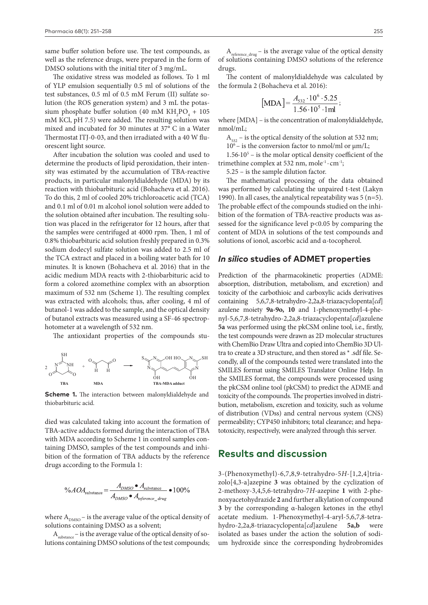same buffer solution before use. The test compounds, as well as the reference drugs, were prepared in the form of DMSO solutions with the initial titer of 3 mg/mL.

The oxidative stress was modeled as follows. To 1 ml of YLP emulsion sequentially 0.5 ml of solutions of the test substances, 0.5 ml of 0.5 mM Ferum (II) sulfate solution (the ROS generation system) and 3 mL the potassium phosphate buffer solution (40 mM  $KH_{2}PO_{4} + 105$ mM KCl, pH 7.5) were added. The resulting solution was mixed and incubated for 30 minutes at 37° C in a Water Thermostat ITJ-0-03, and then irradiated with a 40 W fluorescent light source.

After incubation the solution was cooled and used to determine the products of lipid peroxidation, their intensity was estimated by the accumulation of TBA-reactive products, in particular malonyldialdehyde (MDA) by its reaction with thiobarbituric acid (Bohacheva et al. 2016). To do this, 2 ml of cooled 20% trichloroacetic acid (TCA) and 0.1 ml of 0.01 m alcohol ionol solution were added to the solution obtained after incubation. The resulting solution was placed in the refrigerator for 12 hours, after that the samples were centrifuged at 4000 rpm. Then, 1 ml of 0.8% thiobarbituric acid solution freshly prepared in 0.3% sodium dodecyl sulfate solution was added to 2.5 ml of the TCA extract and placed in a boiling water bath for 10 minutes. It is known (Bohacheva et al. 2016) that in the acidic medium MDA reacts with 2-thiobarbituric acid to form a colored azomethine complex with an absorption maximum of 532 nm (Scheme 1). The resulting complex was extracted with alcohols; thus, after cooling, 4 ml of butanol-1 was added to the sample, and the optical density of butanol extracts was measured using a SF-46 spectrophotometer at a wavelength of 532 nm.

The antioxidant properties of the compounds stu-



**Scheme 1.** The interaction between malonyldialdehyde and thiobarbituric acid.

died was calculated taking into account the formation of TBA-active adducts formed during the interaction of TBA with MDA according to Scheme 1 in control samples containing DMSO, samples of the test compounds and inhibition of the formation of TBA adducts by the reference drugs according to the Formula 1:

$$
\%AOA_{\text{substance}} = \frac{A_{\text{DMSO}} \bullet A_{\text{substance}}}{A_{\text{DMSO}} \bullet A_{\text{reference\_drug}}} \bullet 100\%
$$

where  $A_{DMSO}$  – is the average value of the optical density of solutions containing DMSO as a solvent;

 $A<sub>substance</sub>$  – is the average value of the optical density of solutions containing DMSO solutions of the test compounds;

The content of malonyldialdehyde was calculated by the formula 2 (Bohacheva et al. 2016):

$$
[\text{MDA}] = \frac{A_{532} \cdot 10^6 \cdot 5.25}{1.56 \cdot 10^5 \cdot 1 \text{ml}}
$$

where [MDA] – is the concentration of malonyldialdehyde, nmol/mL;

 $A<sub>532</sub>$  – is the optical density of the solution at 532 nm;

 $10<sup>6</sup>$  – is the conversion factor to nmol/ml or  $\mu$ m/L;

 $1.56 \cdot 10^5$  – is the molar optical density coefficient of the trimethine complex at 532 nm, mole<sup>-1</sup> · cm<sup>-1</sup>;

5.25 – is the sample dilution factor.

The mathematical processing of the data obtained was performed by calculating the unpaired t-test (Lakyn 1990). In all cases, the analytical repeatability was  $5 (n=5)$ . The probable effect of the compounds studied on the inhibition of the formation of TBA-reactive products was assessed for the significance level p<0.05 by comparing the content of MDA in solutions of the test compounds and solutions of ionol, ascorbic acid and α-tocopherol.

#### *In silico* **studies of ADMET properties**

Prediction of the pharmacokinetic properties (ADME: absorption, distribution, metabolism, and excretion) and toxicity of the carbothioic and carboxylic acids derivatives containing 5,6,7,8-tetrahydro-2,2a,8-triazacyclopenta[*cd*] azulene moiety **9a-9o, 10** and 1-phenoxymethyl-4-phenyl-5,6,7,8-tetrahydro-2,2a,8-triazacyclopenta[*cd*]azulene **5а** was performed using the pkCSM online tool, i.e., firstly, the test compounds were drawn as 2D molecular structures with ChemBio Draw Ultra and copied into ChemBio 3D Ultra to create a 3D structure, and then stored as \* .sdf file. Secondly, all of the compounds tested were translated into the SMILES format using SMILES Translator Online Help. In the SMILES format, the compounds were processed using the pkCSM online tool (pkCSM) to predict the ADME and toxicity of the compounds. The properties involved in distribution, metabolism, excretion and toxicity, such as volume of distribution (VDss) and central nervous system (CNS) permeability; CYP450 inhibitors; total clearance; and hepatotoxicity, respectively, were analyzed through this server.

## **Results and discussion**

3-(Phenoxymethyl)-6,7,8,9-tetrahydro-5*H*-[1,2,4]triazolo[4,3-a]azepine **3** was obtained by the cyclization of 2-methoxy-3,4,5,6-tetrahydro-7*H*-azepine **1** with 2-phenoxyacetohydrazide **2** and further alkylation of compound **3** by the corresponding α-halogen ketones in the ethyl acetate medium. 1-Phenoxymethyl-4-aryl-5,6,7,8-tetrahydro-2,2a,8-triazacyclopenta[*cd*]azulene 5a,b isolated as bases under the action the solution of sodium hydroxide since the corresponding hydrobromides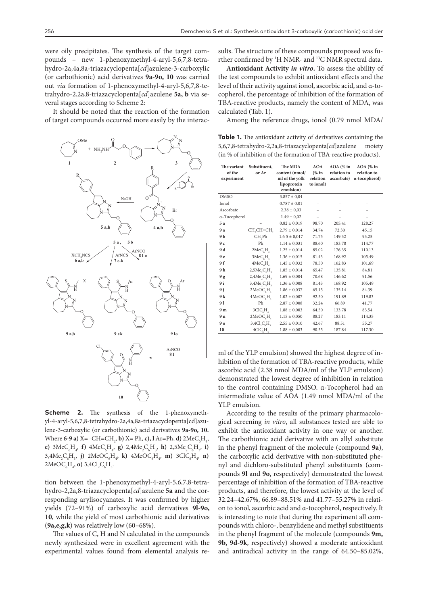were oily precipitates. The synthesis of the target compounds – new 1-phenoxymethyl-4-aryl-5,6,7,8-tetrahydro-2а,4a,8a-triazacyclopenta[*cd*]azulene-3-carboxylic (or carbothionic) acid derivatives **9a-9o, 10** was carried out *via* formation of 1-phenoxymethyl-4-aryl-5,6,7,8-tetrahydro-2,2a,8-triazacyclopenta[*cd*]azulene **5a, b** via several stages according to Scheme 2:

It should be noted that the reaction of the formation of target compounds occurred more easily by the interac-



**Scheme 2.** The synthesis of the 1-phenoxymethyl-4-aryl-5,6,7,8-tetrahydro-2а,4a,8a-triazacyclopenta[cd]azulene-3-carboxylic (or carbothionic) acid derivatives **9a-9o, 10.**  Where **6-9 a)**  $X = -CH = CH_2$ , **b)**  $X = Ph$ , **c)**,  $1 \text{Ar} = Ph$ , **d**)  $2 \text{MeC}_6H_4$ , **e**)  $3\text{MeC}_{6}\text{H}_{4}$ , **f**)  $4\text{MeC}_{6}\text{H}_{4}$ , **g**)  $2,4\text{Me}_{2}\text{C}_{6}\text{H}_{3}$ , **h**)  $2,5\text{Me}_{2}\text{C}_{6}\text{H}_{3}$ , **i**)  $3,4\text{Me}_2\text{C}_6\text{H}_3$ , j)  $2\text{MeOC}_6\text{H}_4$ , k)  $4\text{MeOC}_6\text{H}_4$ , m)  $3\text{ClC}_6\text{H}_4$ , n)  $2\text{MeOC}_{6}H_{4}$ , **o**)  $3,4\text{Cl}_{2}\text{C}_{6}H_{3}$ .

tion between the 1-phenoxymethyl-4-aryl-5,6,7,8-tetrahydro-2,2a,8-triazacyclopenta[*cd*]azulene **5а** and the corresponding arylisocyanates. It was confirmed by higher yields (72–91%) of carboxylic acid derivatives **9l-9o, 10**, while the yield of most carbothionic acid derivatives (**9a,e,g,k**) was relatively low (60–68%).

The values of C, H and N calculated in the compounds newly synthesized were in excellent agreement with the experimental values found from elemental analysis results. The structure of these compounds proposed was further confirmed by 1 Н NMR- and 13С NMR spectral data.

**Antioxidant Activity** *in vitro***.** To assess the ability of the test compounds to exhibit antioxidant effects and the level of their activity against ionol, ascorbic acid, and α-tocopherol, the percentage of inhibition of the formation of TBA-reactive products, namely the content of MDA, was calculated (Tab. 1).

Among the reference drugs, ionol (0.79 nmol MDA/

**Table 1.** The antioxidant activity of derivatives containing the 5,6,7,8-tetrahydro-2,2a,8-triazacyclopenta[*cd*]azulene moiety (in % of inhibition of the formation of TBA-reactive products).

| The variant<br>of the<br>experiment | Substituent.<br>or Ar                                           | The MDA<br>content (nmol/<br>ml of the yolk | <b>AOA</b><br>(% in<br>relation | AOA (% in<br>relation to<br>ascorbate) | $AOA$ (% in<br>relation to<br>α-tocopherol) |
|-------------------------------------|-----------------------------------------------------------------|---------------------------------------------|---------------------------------|----------------------------------------|---------------------------------------------|
|                                     |                                                                 | lipoprotein<br>emulsion)                    | to ionol)                       |                                        |                                             |
| <b>DMSO</b>                         |                                                                 | $3.857 \pm 0.04$                            |                                 |                                        | ۰                                           |
| Ionol                               |                                                                 | $0.787 \pm 0.01$                            |                                 |                                        |                                             |
| Ascorbate                           |                                                                 | $2.38 \pm 0.03$                             |                                 |                                        |                                             |
| a-Tocopherol                        |                                                                 | $1.49 \pm 0.02$                             |                                 |                                        |                                             |
| 5 a                                 |                                                                 | $0.82 \pm 0.019$                            | 98.70                           | 205.41                                 | 128.27                                      |
| 9 a                                 | CH <sub>2</sub> CH=CH <sub>2</sub>                              | $2.79 \pm 0.014$                            | 34.74                           | 72.30                                  | 45.15                                       |
| 9 b                                 | CH, Ph                                                          | $1.65 \pm 0.017$                            | 71.75                           | 149.32                                 | 93.25                                       |
| 9 с                                 | Ph                                                              | $1.14 \pm 0.031$                            | 88.60                           | 183.78                                 | 114.77                                      |
| 9 d                                 | $2MeC_{c}H_{d}$                                                 | $1.25 \pm 0.014$                            | 85.02                           | 176.35                                 | 110.13                                      |
| 9 е                                 | 3MeC <sub>6</sub> H <sub>4</sub>                                | $1.36 \pm 0.015$                            | 81.43                           | 168.92                                 | 105.49                                      |
| 9 f                                 | 4MeC <sub>a</sub> H <sub>a</sub>                                | $1.45 \pm 0.032$                            | 78.50                           | 162.83                                 | 101.69                                      |
| 9 h                                 | $2,5Me$ , $C6H3$                                                | $1.85 \pm 0.014$                            | 65.47                           | 135.81                                 | 84.81                                       |
| 9 g                                 | $2,4Me$ , $C$ <sub><math>\epsilon</math></sub> $H$ <sub>2</sub> | $1.69 \pm 0.004$                            | 70.68                           | 146.62                                 | 91.56                                       |
| 9 i                                 | $3,4Me$ , $C6H3$                                                | $1.36 \pm 0.008$                            | 81.43                           | 168.92                                 | 105.49                                      |
| 9 j                                 | 2MeOC <sub>2</sub> H                                            | $1.86 \pm 0.037$                            | 65.15                           | 135.14                                 | 84.39                                       |
| 9 k                                 | 4MeOC <sub>c</sub> H <sub>s</sub>                               | $1.02 \pm 0.007$                            | 92.50                           | 191.89                                 | 119.83                                      |
| 91                                  | Ph                                                              | $2.87 \pm 0,008$                            | 32.24                           | 66.89                                  | 41.77                                       |
| 9 m                                 | 3ClC <sub>6</sub> H <sub>4</sub>                                | $1.88 \pm 0,003$                            | 64.50                           | 133.78                                 | 83.54                                       |
| 9 n                                 | 2MeOC <sub>e</sub> H <sub>a</sub>                               | $1.15 \pm 0.050$                            | 88.27                           | 183.11                                 | 114.35                                      |
| 9о                                  | 3,4Cl, C, H                                                     | $2.55 \pm 0.010$                            | 42.67                           | 88.51                                  | 55.27                                       |
| 10                                  | 4ClC <sub>6</sub> H <sub>4</sub>                                | $1.88 \pm 0,003$                            | 90.55                           | 187.84                                 | 117.30                                      |

ml of the YLP emulsion) showed the highest degree of inhibition of the formation of TBA-reactive products, while ascorbic acid (2.38 nmol MDA/ml of the YLP emulsion) demonstrated the lowest degree of inhibition in relation to the control containing DMSO. α-Tocopherol had an intermediate value of AOA (1.49 nmol MDA/ml of the YLP emulsion.

According to the results of the primary pharmacological screening *in vitro*, all substances tested are able to exhibit the antioxidant activity in one way or another. The carbothionic acid derivative with an allyl substitute in the phenyl fragment of the molecule (compound **9a**), the carboxylic acid derivative with non-substituted phenyl and dichloro-substituted phenyl substituents (compounds **9l** and **9o,** respectively) demonstrated the lowest percentage of inhibition of the formation of TBA-reactive products, and therefore, the lowest activity at the level of 32.24–42.67%, 66.89–88.51% and 41.77–55.27% in relation to ionol, ascorbic acid and α-tocopherol, respectively. It is interesting to note that during the experiment all compounds with chloro-, benzylidene and methyl substituents in the phenyl fragment of the molecule (compounds **9m, 9b, 9d-9k**, respectively) showed a moderate antioxidant and antiradical activity in the range of 64.50–85.02%,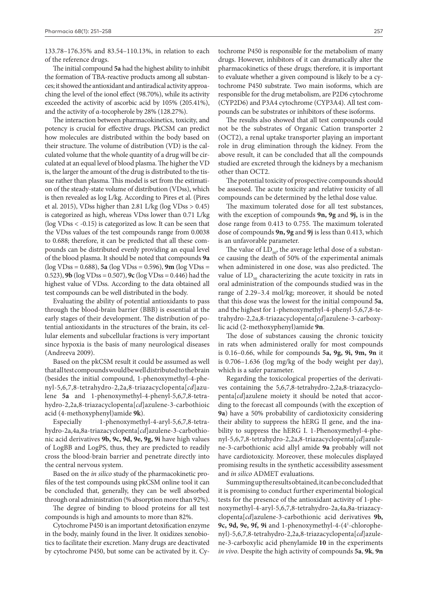133.78–176.35% and 83.54–110.13%, in relation to each of the reference drugs.

The initial compound **5а** had the highest ability to inhibit the formation of TBA-reactive products among all substances; it showed the antioxidant and antiradical activity approaching the level of the ionol effect (98.70%), while its activity exceeded the activity of ascorbic acid by 105% (205.41%), and the activity of α-tocopherole by 28% (128.27%).

The interaction between pharmacokinetics, toxicity, and potency is crucial for effective drugs. PkCSM can predict how molecules are distributed within the body based on their structure. The volume of distribution (VD) is the calculated volume that the whole quantity of a drug will be circulated at an equal level of blood plasma. The higher the VD is, the larger the amount of the drug is distributed to the tissue rather than plasma. This model is set from the estimation of the steady-state volume of distribution (VDss), which is then revealed as log L/kg. According to Pires et al. (Pires et al. 2015), VDss higher than 2.81 L/kg (log VDss > 0.45) is categorized as high, whereas VDss lower than 0.71 L/kg (log VDss < -0.15) is categorized as low. It can be seen that the VDss values of the test compounds range from 0.0038 to 0.688; therefore, it can be predicted that all these compounds can be distributed evenly providing an equal level of the blood plasma. It should be noted that compounds **9a** (log VDss = 0.688), **5a** (log VDss = 0.596), **9m** (log VDss = 0.523), **9b** (log VDss = 0.507), **9c** (log VDss = 0.446) had the highest value of VDss. According to the data obtained all test compounds can be well distributed in the body.

Evaluating the ability of potential antioxidants to pass through the blood-brain barrier (BBB) is essential at the early stages of their development. The distribution of potential antioxidants in the structures of the brain, its cellular elements and subcellular fractions is very important since hypoxia is the basis of many neurological diseases (Andreeva 2009).

Based on the pkCSM result it could be assumed as well that all test compounds would be well distributed to the brain (besides the initial compound, 1-phenoxymethyl-4-phenyl-5,6,7,8-tetrahydro-2,2a,8-triazacyclopenta[*cd*]azulene **5a** and 1-phenoxymethyl-4-phenyl-5,6,7,8-tetrahydro-2,2a,8-triazacyclopenta[*cd*]azulene-3-carbothioic acid (4-methoxyphenyl)amide **9k**).

Especially 1-phenoxymethyl-4-aryl-5,6,7,8-tetrahydro-2а,4a,8a-triazacyclopenta[*cd*]azulene-3-carbothionic acid derivatives **9b, 9c, 9d, 9e, 9g, 9i** have high values of LogBB and LogPS, thus, they are predicted to readily cross the blood-brain barrier and penetrate directly into the central nervous system.

Based on the *in silico* study of the pharmacokinetic profiles of the test compounds using pkCSM online tool it can be concluded that, generally, they can be well absorbed through oral administration (% absorption more than 92%).

The degree of binding to blood proteins for all test compounds is high and amounts to more than 82%.

Cytochrome P450 is an important detoxification enzyme in the body, mainly found in the liver. It oxidizes xenobiotics to facilitate their excretion. Many drugs are deactivated by cytochrome P450, but some can be activated by it. Cytochrome P450 is responsible for the metabolism of many drugs. However, inhibitors of it can dramatically alter the pharmacokinetics of these drugs; therefore, it is important to evaluate whether a given compound is likely to be a cytochrome P450 substrate. Two main isoforms, which are responsible for the drug metabolism, are P2D6 cytochrome (CYP2D6) and P3A4 cytochrome (CYP3A4). Аll test compounds can be substrates or inhibitors of these isoforms.

The results also showed that all test compounds could not be the substrates of Organic Cation transporter 2 (OCT2), a renal uptake transporter playing an important role in drug elimination through the kidney. From the above result, it can be concluded that all the compounds studied are excreted through the kidneys by a mechanism other than OCT2.

The potential toxicity of prospective compounds should be assessed. The acute toxicity and relative toxicity of all compounds can be determined by the lethal dose value.

The maximum tolerated dose for all test substances, with the exception of compounds **9n, 9g** and **9j,** is in the dose range from 0.413 to 0.755. The maximum tolerated dose of compounds **9n, 9g** and **9j** is less than 0.413, which is an unfavorable parameter.

The value of  $LD_{\epsilon 0}$ , the average lethal dose of a substance causing the death of 50% of the experimental animals when administered in one dose, was also predicted. The value of  $LD_{50}$  characterizing the acute toxicity in rats in oral administration of the compounds studied was in the range of 2.29–3.4 mol/kg; moreover, it should be noted that this dose was the lowest for the initial compound **5а**, and the highest for 1-phenoxymethyl-4-phenyl-5,6,7,8-tetrahydro-2,2a,8-triazacyclopenta[*cd*]azulene-3-carboxylic acid (2-methoxyphenyl)amide **9n**.

The dose of substances causing the chronic toxicity in rats when administered orally for most compounds is 0.16–0.66, while for compounds **5a, 9g, 9i, 9m, 9n** it is 0.706–1.636 (log mg/kg of the body weight per day), which is a safer parameter.

Regarding the toxicological properties of the derivatives containing the 5,6,7,8-tetrahydro-2,2a,8-triazacyclopenta[*cd*]azulene moiety it should be noted that according to the forecast all compounds (with the exception of **9а**) have a 50% probability of cardiotoxicity considering their ability to suppress the hERG II gene, and the inability to suppress the hERG I. 1-Phenoxymethyl-4-phenyl-5,6,7,8-tetrahydro-2,2a,8-triazacyclopenta[*cd*]azulene-3-carbothionic acid allyl amide **9а** probably will not have cardiotoxicity. Moreover, these molecules displayed promising results in the synthetic accessibility assessment and *in silico* ADMET evaluations.

Summing up the results obtained, it can be concluded that it is promising to conduct further experimental biological tests for the presence of the antioxidant activity of 1-phenoxymethyl-4-aryl-5,6,7,8-tetrahydro-2а,4a,8a-triazacyclopenta[*cd*]azulene-3-carbothionic acid derivatives **9b,**  9c, 9d, 9e, 9f, 9i and 1-phenoxymethyl-4-(4<sup>1</sup>-chlorophenyl)-5,6,7,8-tetrahydro-2,2a,8-triazacyclopenta[*cd*]azulene-3-carboxylic acid phenylamide **10** in the experiments *in vivo*. Despite the high activity of compounds **5a**, **9k**, **9n**